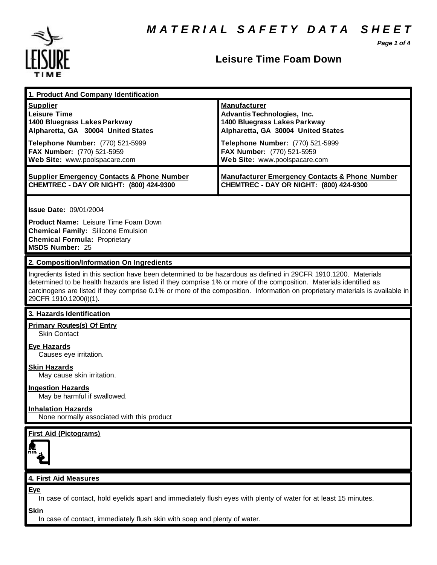*Page 1 of 4*



### **Leisure Time Foam Down**

| 1. Product And Company Identification                                                                              |                                                                                                                               |  |
|--------------------------------------------------------------------------------------------------------------------|-------------------------------------------------------------------------------------------------------------------------------|--|
| <b>Supplier</b>                                                                                                    | <b>Manufacturer</b>                                                                                                           |  |
| <b>Leisure Time</b>                                                                                                | <b>Advantis Technologies, Inc.</b>                                                                                            |  |
| 1400 Bluegrass Lakes Parkway                                                                                       | 1400 Bluegrass Lakes Parkway                                                                                                  |  |
| Alpharetta, GA 30004 United States                                                                                 | Alpharetta, GA 30004 United States                                                                                            |  |
| Telephone Number: (770) 521-5999                                                                                   | Telephone Number: (770) 521-5999                                                                                              |  |
| FAX Number: (770) 521-5959                                                                                         | FAX Number: (770) 521-5959                                                                                                    |  |
| Web Site: www.poolspacare.com                                                                                      | Web Site: www.poolspacare.com                                                                                                 |  |
|                                                                                                                    |                                                                                                                               |  |
| <b>Supplier Emergency Contacts &amp; Phone Number</b>                                                              | <b>Manufacturer Emergency Contacts &amp; Phone Number</b>                                                                     |  |
| CHEMTREC - DAY OR NIGHT: (800) 424-9300                                                                            | CHEMTREC - DAY OR NIGHT: (800) 424-9300                                                                                       |  |
|                                                                                                                    |                                                                                                                               |  |
|                                                                                                                    |                                                                                                                               |  |
| <b>Issue Date: 09/01/2004</b>                                                                                      |                                                                                                                               |  |
| <b>Product Name: Leisure Time Foam Down</b>                                                                        |                                                                                                                               |  |
| <b>Chemical Family: Silicone Emulsion</b>                                                                          |                                                                                                                               |  |
| <b>Chemical Formula: Proprietary</b>                                                                               |                                                                                                                               |  |
| <b>MSDS Number: 25</b>                                                                                             |                                                                                                                               |  |
|                                                                                                                    |                                                                                                                               |  |
| 2. Composition/Information On Ingredients                                                                          |                                                                                                                               |  |
| Ingredients listed in this section have been determined to be hazardous as defined in 29CFR 1910.1200. Materials   |                                                                                                                               |  |
| determined to be health hazards are listed if they comprise 1% or more of the composition. Materials identified as |                                                                                                                               |  |
|                                                                                                                    | carcinogens are listed if they comprise 0.1% or more of the composition. Information on proprietary materials is available in |  |
| 29CFR 1910.1200(i)(1).                                                                                             |                                                                                                                               |  |
|                                                                                                                    |                                                                                                                               |  |
| 3. Hazards Identification                                                                                          |                                                                                                                               |  |
|                                                                                                                    |                                                                                                                               |  |
| <b>Primary Routes(s) Of Entry</b>                                                                                  |                                                                                                                               |  |
| <b>Skin Contact</b>                                                                                                |                                                                                                                               |  |
| <b>Eye Hazards</b>                                                                                                 |                                                                                                                               |  |
| Causes eye irritation.                                                                                             |                                                                                                                               |  |
|                                                                                                                    |                                                                                                                               |  |
| <b>Skin Hazards</b>                                                                                                |                                                                                                                               |  |
| May cause skin irritation.                                                                                         |                                                                                                                               |  |
| <b>Ingestion Hazards</b>                                                                                           |                                                                                                                               |  |
| May be harmful if swallowed.                                                                                       |                                                                                                                               |  |
|                                                                                                                    |                                                                                                                               |  |
| <b>Inhalation Hazards</b><br>None normally associated with this product                                            |                                                                                                                               |  |
|                                                                                                                    |                                                                                                                               |  |
| <b>First Aid (Pictograms)</b>                                                                                      |                                                                                                                               |  |
|                                                                                                                    |                                                                                                                               |  |
|                                                                                                                    |                                                                                                                               |  |
|                                                                                                                    |                                                                                                                               |  |
|                                                                                                                    |                                                                                                                               |  |
| 4. First Aid Measures                                                                                              |                                                                                                                               |  |
| <b>Eye</b>                                                                                                         |                                                                                                                               |  |
| In case of contact, hold eyelids apart and immediately flush eyes with plenty of water for at least 15 minutes.    |                                                                                                                               |  |
|                                                                                                                    |                                                                                                                               |  |
| <b>Skin</b><br>In case of contact, immediately flush skin with soap and plenty of water.                           |                                                                                                                               |  |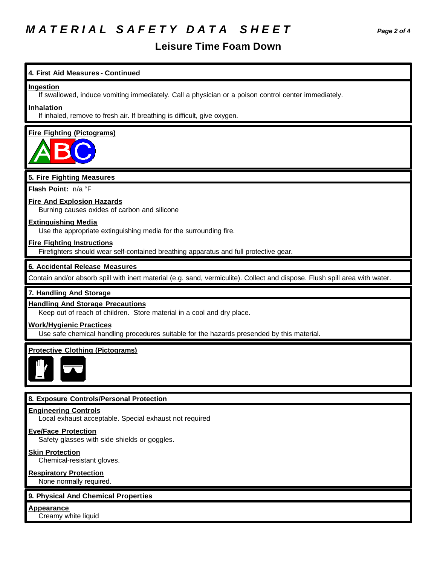# *M A T E R I A L S A F E T Y D A T A S H E E T Page 2 of 4*

### **Leisure Time Foam Down**

#### **4. First Aid Measures - Continued**

#### **Ingestion**

If swallowed, induce vomiting immediately. Call a physician or a poison control center immediately.

#### **Inhalation**

If inhaled, remove to fresh air. If breathing is difficult, give oxygen.

### **Fire Fighting (Pictograms)**

#### **5. Fire Fighting Measures**

**Flash Point:** n/a °F

#### **Fire And Explosion Hazards**

Burning causes oxides of carbon and silicone

#### **Extinguishing Media**

Use the appropriate extinguishing media for the surrounding fire.

#### **Fire Fighting Instructions**

Firefighters should wear self-contained breathing apparatus and full protective gear.

#### **6. Accidental Release Measures**

Contain and/or absorb spill with inert material (e.g. sand, vermiculite). Collect and dispose. Flush spill area with water.

#### **7. Handling And Storage**

#### **Handling And Storage Precautions**

Keep out of reach of children. Store material in a cool and dry place.

#### **Work/Hygienic Practices**

Use safe chemical handling procedures suitable for the hazards presended by this material.

#### **Protective Clothing (Pictograms)**



#### **8. Exposure Controls/Personal Protection**

#### **Engineering Controls**

Local exhaust acceptable. Special exhaust not required

#### **Eye/Face Protection**

Safety glasses with side shields or goggles.

#### **Skin Protection**

Chemical-resistant gloves.

#### **Respiratory Protection**

None normally required.

#### **9. Physical And Chemical Properties**

#### **Appearance**

Creamy white liquid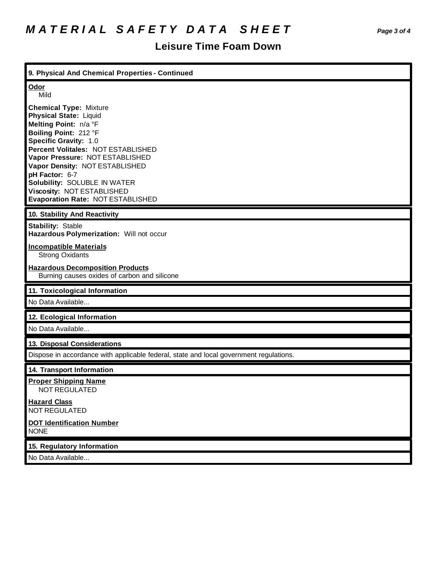## **Leisure Time Foam Down**

| 9. Physical And Chemical Properties - Continued                                                                                                                                                                                                                                                                                                                           |  |
|---------------------------------------------------------------------------------------------------------------------------------------------------------------------------------------------------------------------------------------------------------------------------------------------------------------------------------------------------------------------------|--|
| Odor<br>Mild                                                                                                                                                                                                                                                                                                                                                              |  |
| <b>Chemical Type: Mixture</b><br><b>Physical State: Liquid</b><br>Melting Point: n/a °F<br>Boiling Point: 212 °F<br>Specific Gravity: 1.0<br>Percent Volitales: NOT ESTABLISHED<br>Vapor Pressure: NOT ESTABLISHED<br>Vapor Density: NOT ESTABLISHED<br>pH Factor: 6-7<br>Solubility: SOLUBLE IN WATER<br>Viscosity: NOT ESTABLISHED<br>Evaporation Rate: NOT ESTABLISHED |  |
| 10. Stability And Reactivity                                                                                                                                                                                                                                                                                                                                              |  |
| <b>Stability: Stable</b><br>Hazardous Polymerization: Will not occur                                                                                                                                                                                                                                                                                                      |  |
| <b>Incompatible Materials</b><br><b>Strong Oxidants</b>                                                                                                                                                                                                                                                                                                                   |  |
| <b>Hazardous Decomposition Products</b><br>Burning causes oxides of carbon and silicone                                                                                                                                                                                                                                                                                   |  |
| 11. Toxicological Information                                                                                                                                                                                                                                                                                                                                             |  |
| No Data Available                                                                                                                                                                                                                                                                                                                                                         |  |
| 12. Ecological Information                                                                                                                                                                                                                                                                                                                                                |  |
| No Data Available                                                                                                                                                                                                                                                                                                                                                         |  |
| 13. Disposal Considerations                                                                                                                                                                                                                                                                                                                                               |  |
| Dispose in accordance with applicable federal, state and local government regulations.                                                                                                                                                                                                                                                                                    |  |
| 14. Transport Information                                                                                                                                                                                                                                                                                                                                                 |  |
| <b>Proper Shipping Name</b><br><b>NOT REGULATED</b>                                                                                                                                                                                                                                                                                                                       |  |
| <b>Hazard Class</b><br><b>NOT REGULATED</b>                                                                                                                                                                                                                                                                                                                               |  |
| <b>DOT Identification Number</b><br><b>NONE</b>                                                                                                                                                                                                                                                                                                                           |  |
| 15. Regulatory Information                                                                                                                                                                                                                                                                                                                                                |  |
| No Data Available                                                                                                                                                                                                                                                                                                                                                         |  |